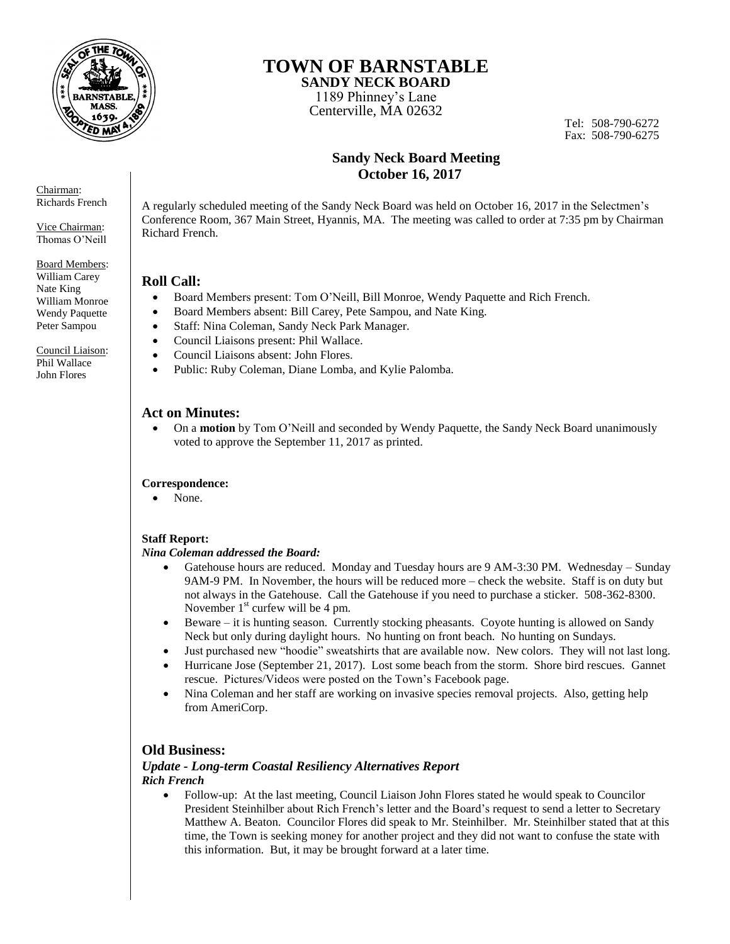

# **TOWN OF BARNSTABLE**

**SANDY NECK BOARD**  1189 Phinney's Lane

Centerville, MA 02632

Tel: 508-790-6272 Fax: 508-790-6275

## **Sandy Neck Board Meeting October 16, 2017**

A regularly scheduled meeting of the Sandy Neck Board was held on October 16, 2017 in the Selectmen's Conference Room, 367 Main Street, Hyannis, MA. The meeting was called to order at 7:35 pm by Chairman Richard French.

## **Roll Call:**

- Board Members present: Tom O'Neill, Bill Monroe, Wendy Paquette and Rich French.
- Board Members absent: Bill Carey, Pete Sampou, and Nate King.
- Staff: Nina Coleman, Sandy Neck Park Manager.
- Council Liaisons present: Phil Wallace.
- Council Liaisons absent: John Flores.
- Public: Ruby Coleman, Diane Lomba, and Kylie Palomba.

## **Act on Minutes:**

 On a **motion** by Tom O'Neill and seconded by Wendy Paquette, the Sandy Neck Board unanimously voted to approve the September 11, 2017 as printed.

#### **Correspondence:**

• None.

#### **Staff Report:**

#### *Nina Coleman addressed the Board:*

- Gatehouse hours are reduced. Monday and Tuesday hours are 9 AM-3:30 PM. Wednesday Sunday 9AM-9 PM. In November, the hours will be reduced more – check the website. Staff is on duty but not always in the Gatehouse. Call the Gatehouse if you need to purchase a sticker. 508-362-8300. November  $1<sup>st</sup>$  curfew will be 4 pm.
- Beware it is hunting season. Currently stocking pheasants. Coyote hunting is allowed on Sandy Neck but only during daylight hours. No hunting on front beach. No hunting on Sundays.
- Just purchased new "hoodie" sweatshirts that are available now. New colors. They will not last long.
- Hurricane Jose (September 21, 2017). Lost some beach from the storm. Shore bird rescues. Gannet rescue. Pictures/Videos were posted on the Town's Facebook page.
- Nina Coleman and her staff are working on invasive species removal projects. Also, getting help from AmeriCorp.

## **Old Business:**

#### *Update - Long-term Coastal Resiliency Alternatives Report Rich French*

 Follow-up: At the last meeting, Council Liaison John Flores stated he would speak to Councilor President Steinhilber about Rich French's letter and the Board's request to send a letter to Secretary Matthew A. Beaton. Councilor Flores did speak to Mr. Steinhilber. Mr. Steinhilber stated that at this time, the Town is seeking money for another project and they did not want to confuse the state with this information. But, it may be brought forward at a later time.

Chairman: Richards French

Vice Chairman: Thomas O'Neill

Board Members: William Carey Nate King William Monroe Wendy Paquette Peter Sampou

Council Liaison: Phil Wallace John Flores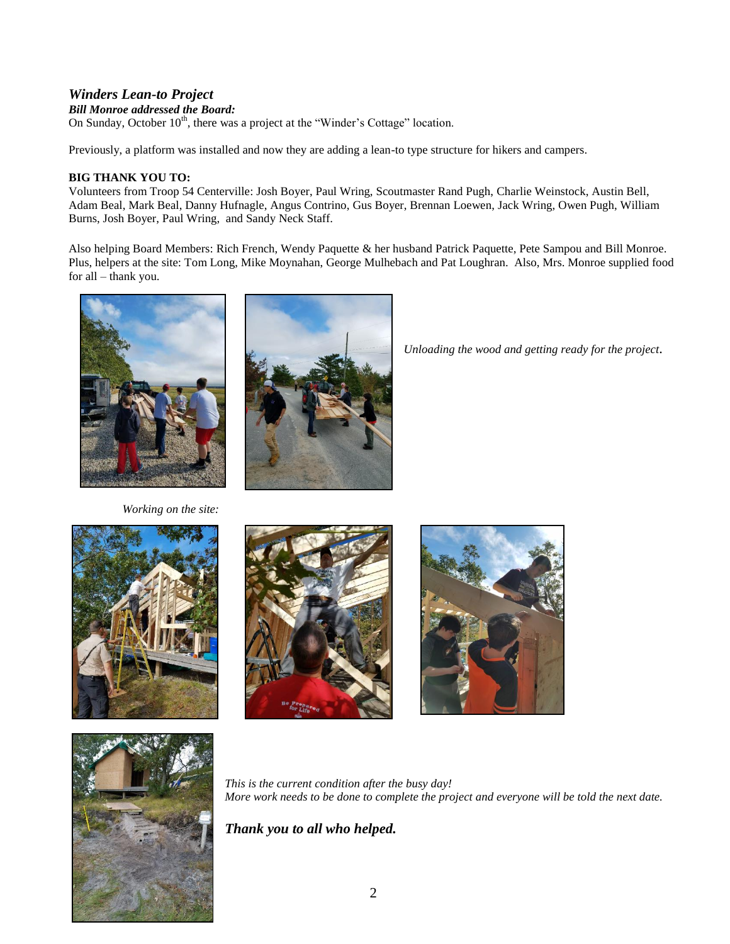## *Winders Lean-to Project*

#### *Bill Monroe addressed the Board:*

On Sunday, October  $10^{th}$ , there was a project at the "Winder's Cottage" location.

Previously, a platform was installed and now they are adding a lean-to type structure for hikers and campers.

### **BIG THANK YOU TO:**

Volunteers from Troop 54 Centerville: Josh Boyer, Paul Wring, Scoutmaster Rand Pugh, Charlie Weinstock, Austin Bell, Adam Beal, Mark Beal, Danny Hufnagle, Angus Contrino, Gus Boyer, Brennan Loewen, Jack Wring, Owen Pugh, William Burns, Josh Boyer, Paul Wring, and Sandy Neck Staff.

Also helping Board Members: Rich French, Wendy Paquette & her husband Patrick Paquette, Pete Sampou and Bill Monroe. Plus, helpers at the site: Tom Long, Mike Moynahan, George Mulhebach and Pat Loughran. Also, Mrs. Monroe supplied food for all – thank you.





*Unloading the wood and getting ready for the project.* 

 *Working on the site:*









*This is the current condition after the busy day! More work needs to be done to complete the project and everyone will be told the next date.* 

## *Thank you to all who helped.*